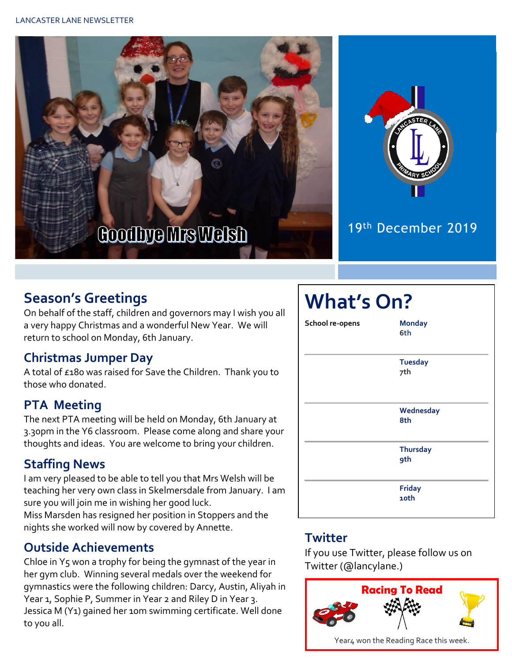



## 19th December 2019

# **Season's Greetings**

On behalf of the staff, children and governors may I wish you all a very happy Christmas and a wonderful New Year. We will return to school on Monday, 6th January.

### **Christmas Jumper Day**

A total of £180 was raised for Save the Children. Thank you to those who donated.

### **PTA Meeting**

The next PTA meeting will be held on Monday, 6th January at 3.30pm in the Y6 classroom. Please come along and share your thoughts and ideas. You are welcome to bring your children.

### **Staffing News**

I am very pleased to be able to tell you that Mrs Welsh will be teaching her very own class in Skelmersdale from January. I am sure you will join me in wishing her good luck. Miss Marsden has resigned her position in Stoppers and the

nights she worked will now by covered by Annette.

### **Outside Achievements**

Chloe in  $Y_5$  won a trophy for being the gymnast of the year in her gym club. Winning several medals over the weekend for gymnastics were the following children: Darcy, Austin, Aliyah in Year 1, Sophie P, Summer in Year 2 and Riley D in Year 3. Jessica M (Y1) gained her 10m swimming certificate. Well done to you all.

# **What's On? School re-opens Monday 6th Tuesday 7th Wednesday 8th Thursday 9th Friday 10th**

### **Twitter**

If you use Twitter, please follow us on Twitter (@lancylane.)